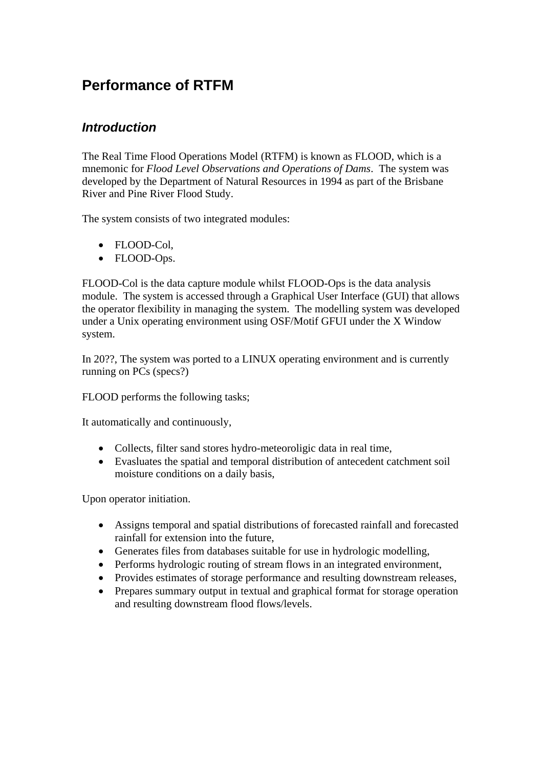# **Performance of RTFM**

### *Introduction*

The Real Time Flood Operations Model (RTFM) is known as FLOOD, which is a mnemonic for *Flood Level Observations and Operations of Dams*. The system was developed by the Department of Natural Resources in 1994 as part of the Brisbane River and Pine River Flood Study.

The system consists of two integrated modules:

- FLOOD-Col,
- FLOOD-Ops.

FLOOD-Col is the data capture module whilst FLOOD-Ops is the data analysis module. The system is accessed through a Graphical User Interface (GUI) that allows the operator flexibility in managing the system. The modelling system was developed under a Unix operating environment using OSF/Motif GFUI under the X Window system.

In 20??, The system was ported to a LINUX operating environment and is currently running on PCs (specs?)

FLOOD performs the following tasks;

It automatically and continuously,

- Collects, filter sand stores hydro-meteoroligic data in real time,
- Evasluates the spatial and temporal distribution of antecedent catchment soil moisture conditions on a daily basis,

Upon operator initiation.

- Assigns temporal and spatial distributions of forecasted rainfall and forecasted rainfall for extension into the future,
- Generates files from databases suitable for use in hydrologic modelling,
- Performs hydrologic routing of stream flows in an integrated environment,
- Provides estimates of storage performance and resulting downstream releases,
- Prepares summary output in textual and graphical format for storage operation and resulting downstream flood flows/levels.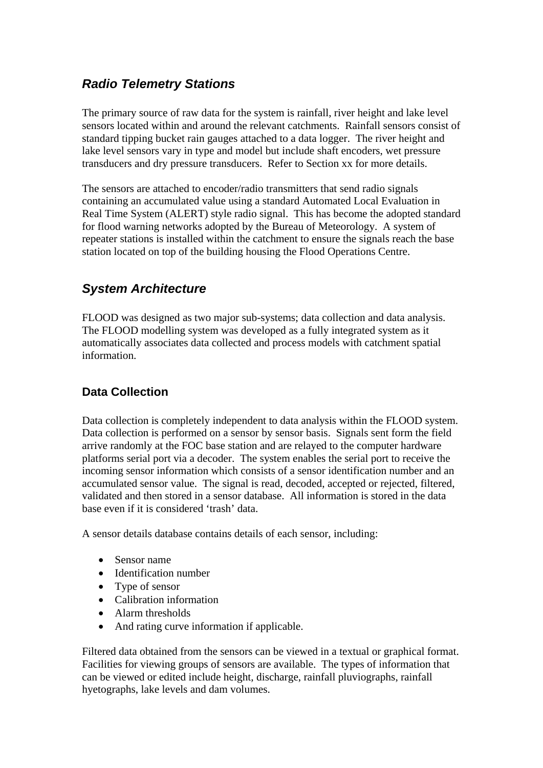## *Radio Telemetry Stations*

The primary source of raw data for the system is rainfall, river height and lake level sensors located within and around the relevant catchments. Rainfall sensors consist of standard tipping bucket rain gauges attached to a data logger. The river height and lake level sensors vary in type and model but include shaft encoders, wet pressure transducers and dry pressure transducers. Refer to Section xx for more details.

The sensors are attached to encoder/radio transmitters that send radio signals containing an accumulated value using a standard Automated Local Evaluation in Real Time System (ALERT) style radio signal. This has become the adopted standard for flood warning networks adopted by the Bureau of Meteorology. A system of repeater stations is installed within the catchment to ensure the signals reach the base station located on top of the building housing the Flood Operations Centre.

## *System Architecture*

FLOOD was designed as two major sub-systems; data collection and data analysis. The FLOOD modelling system was developed as a fully integrated system as it automatically associates data collected and process models with catchment spatial information.

## **Data Collection**

Data collection is completely independent to data analysis within the FLOOD system. Data collection is performed on a sensor by sensor basis. Signals sent form the field arrive randomly at the FOC base station and are relayed to the computer hardware platforms serial port via a decoder. The system enables the serial port to receive the incoming sensor information which consists of a sensor identification number and an accumulated sensor value. The signal is read, decoded, accepted or rejected, filtered, validated and then stored in a sensor database. All information is stored in the data base even if it is considered 'trash' data.

A sensor details database contains details of each sensor, including:

- Sensor name
- Identification number
- Type of sensor
- Calibration information
- Alarm thresholds
- And rating curve information if applicable.

Filtered data obtained from the sensors can be viewed in a textual or graphical format. Facilities for viewing groups of sensors are available. The types of information that can be viewed or edited include height, discharge, rainfall pluviographs, rainfall hyetographs, lake levels and dam volumes.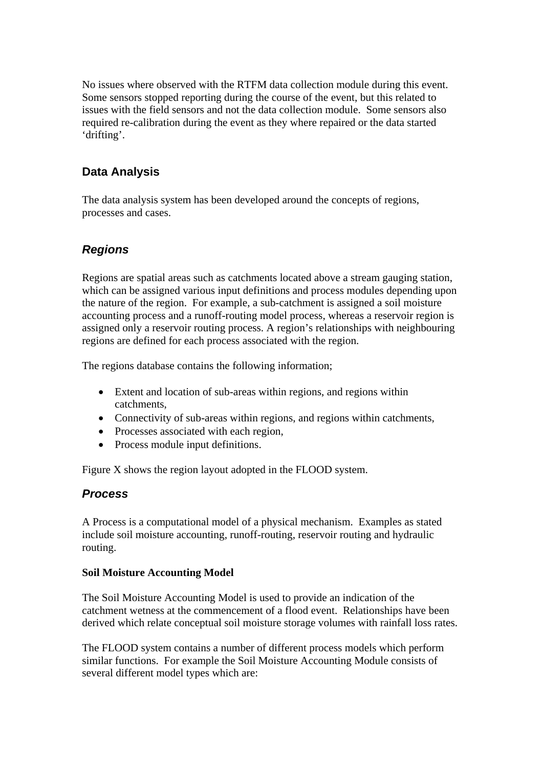No issues where observed with the RTFM data collection module during this event. Some sensors stopped reporting during the course of the event, but this related to issues with the field sensors and not the data collection module. Some sensors also required re-calibration during the event as they where repaired or the data started 'drifting'.

### **Data Analysis**

The data analysis system has been developed around the concepts of regions, processes and cases.

### *Regions*

Regions are spatial areas such as catchments located above a stream gauging station, which can be assigned various input definitions and process modules depending upon the nature of the region. For example, a sub-catchment is assigned a soil moisture accounting process and a runoff-routing model process, whereas a reservoir region is assigned only a reservoir routing process. A region's relationships with neighbouring regions are defined for each process associated with the region.

The regions database contains the following information;

- Extent and location of sub-areas within regions, and regions within catchments,
- Connectivity of sub-areas within regions, and regions within catchments,
- Processes associated with each region,
- Process module input definitions.

Figure X shows the region layout adopted in the FLOOD system.

### *Process*

A Process is a computational model of a physical mechanism. Examples as stated include soil moisture accounting, runoff-routing, reservoir routing and hydraulic routing.

### **Soil Moisture Accounting Model**

The Soil Moisture Accounting Model is used to provide an indication of the catchment wetness at the commencement of a flood event. Relationships have been derived which relate conceptual soil moisture storage volumes with rainfall loss rates.

The FLOOD system contains a number of different process models which perform similar functions. For example the Soil Moisture Accounting Module consists of several different model types which are: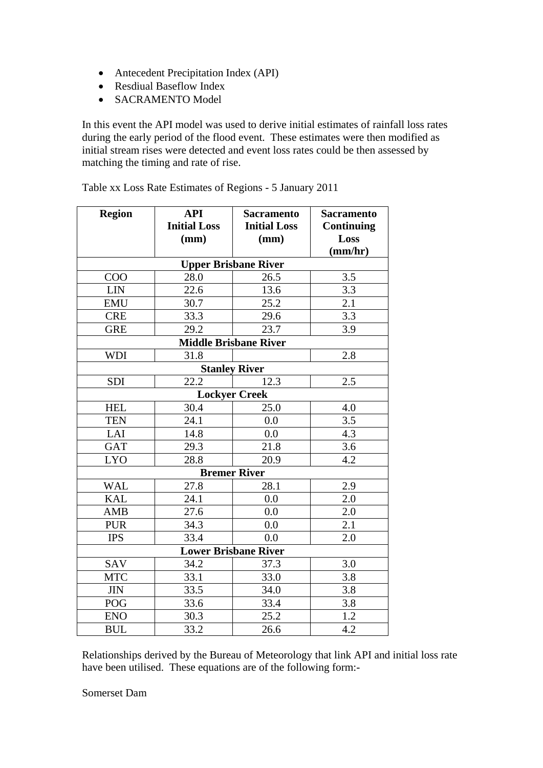- Antecedent Precipitation Index (API)
- Resdiual Baseflow Index
- SACRAMENTO Model

In this event the API model was used to derive initial estimates of rainfall loss rates during the early period of the flood event. These estimates were then modified as initial stream rises were detected and event loss rates could be then assessed by matching the timing and rate of rise.

| <b>Region</b>                | <b>API</b>                  | <b>Sacramento</b>   | <b>Sacramento</b> |  |  |
|------------------------------|-----------------------------|---------------------|-------------------|--|--|
|                              | <b>Initial Loss</b>         | <b>Initial Loss</b> | <b>Continuing</b> |  |  |
|                              | (mm)                        | (mm)                | Loss              |  |  |
|                              |                             |                     | (mm/hr)           |  |  |
|                              | <b>Upper Brisbane River</b> |                     |                   |  |  |
| <b>COO</b>                   | 28.0                        | 26.5                | 3.5               |  |  |
| <b>LIN</b>                   | 22.6                        | 13.6                | 3.3               |  |  |
| <b>EMU</b>                   | 30.7                        | 25.2                | 2.1               |  |  |
| <b>CRE</b>                   | 33.3                        | 29.6                | 3.3               |  |  |
| <b>GRE</b>                   | 29.2                        | 23.7                | 3.9               |  |  |
| <b>Middle Brisbane River</b> |                             |                     |                   |  |  |
| <b>WDI</b>                   | 31.8                        |                     | 2.8               |  |  |
| <b>Stanley River</b>         |                             |                     |                   |  |  |
| <b>SDI</b>                   | 22.2                        | 12.3                | 2.5               |  |  |
| <b>Lockyer Creek</b>         |                             |                     |                   |  |  |
| <b>HEL</b>                   | 30.4                        | 25.0                | 4.0               |  |  |
| <b>TEN</b>                   | 24.1                        | 0.0                 | 3.5               |  |  |
| LAI                          | 14.8                        | 0.0                 | 4.3               |  |  |
| <b>GAT</b>                   | 29.3                        | 21.8                | 3.6               |  |  |
| <b>LYO</b>                   | 28.8                        | 20.9                | 4.2               |  |  |
| <b>Bremer River</b>          |                             |                     |                   |  |  |
| <b>WAL</b>                   | 27.8                        | 28.1                | 2.9               |  |  |
| <b>KAL</b>                   | 24.1                        | 0.0                 | 2.0               |  |  |
| <b>AMB</b>                   | 27.6                        | 0.0                 | 2.0               |  |  |
| <b>PUR</b>                   | 34.3                        | 0.0                 | 2.1               |  |  |
| <b>IPS</b>                   | 33.4                        | 0.0                 | 2.0               |  |  |
| <b>Lower Brisbane River</b>  |                             |                     |                   |  |  |
| SAV                          | 34.2                        | 37.3                | 3.0               |  |  |
| <b>MTC</b>                   | 33.1                        | 33.0                | 3.8               |  |  |
| $JIN$                        | 33.5                        | 34.0                | 3.8               |  |  |
| POG                          | 33.6                        | 33.4                | 3.8               |  |  |
| <b>ENO</b>                   | 30.3                        | 25.2                | 1.2               |  |  |
| <b>BUL</b>                   | 33.2                        | 26.6                | 4.2               |  |  |

Table xx Loss Rate Estimates of Regions - 5 January 2011

Relationships derived by the Bureau of Meteorology that link API and initial loss rate have been utilised. These equations are of the following form:-

Somerset Dam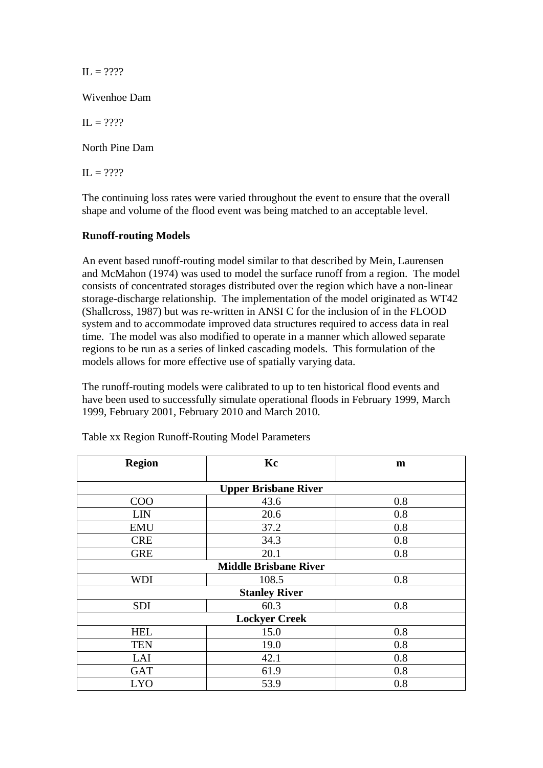$IL = 2222$ 

Wivenhoe Dam

 $\Pi = 2222$ 

North Pine Dam

 $\Pi = 2222$ 

The continuing loss rates were varied throughout the event to ensure that the overall shape and volume of the flood event was being matched to an acceptable level.

#### **Runoff-routing Models**

An event based runoff-routing model similar to that described by Mein, Laurensen and McMahon (1974) was used to model the surface runoff from a region. The model consists of concentrated storages distributed over the region which have a non-linear storage-discharge relationship. The implementation of the model originated as WT42 (Shallcross, 1987) but was re-written in ANSI C for the inclusion of in the FLOOD system and to accommodate improved data structures required to access data in real time. The model was also modified to operate in a manner which allowed separate regions to be run as a series of linked cascading models. This formulation of the models allows for more effective use of spatially varying data.

The runoff-routing models were calibrated to up to ten historical flood events and have been used to successfully simulate operational floods in February 1999, March 1999, February 2001, February 2010 and March 2010.

| <b>Region</b>                | Kc    | m   |  |  |
|------------------------------|-------|-----|--|--|
| <b>Upper Brisbane River</b>  |       |     |  |  |
| COO                          | 43.6  | 0.8 |  |  |
| <b>LIN</b>                   | 20.6  | 0.8 |  |  |
| <b>EMU</b>                   | 37.2  | 0.8 |  |  |
| <b>CRE</b>                   | 34.3  | 0.8 |  |  |
| <b>GRE</b>                   | 20.1  | 0.8 |  |  |
| <b>Middle Brisbane River</b> |       |     |  |  |
| <b>WDI</b>                   | 108.5 | 0.8 |  |  |
| <b>Stanley River</b>         |       |     |  |  |
| <b>SDI</b>                   | 60.3  | 0.8 |  |  |
| <b>Lockyer Creek</b>         |       |     |  |  |
| <b>HEL</b>                   | 15.0  | 0.8 |  |  |
| <b>TEN</b>                   | 19.0  | 0.8 |  |  |
| LAI                          | 42.1  | 0.8 |  |  |
| <b>GAT</b>                   | 61.9  | 0.8 |  |  |
| <b>LYO</b>                   | 53.9  | 0.8 |  |  |

Table xx Region Runoff-Routing Model Parameters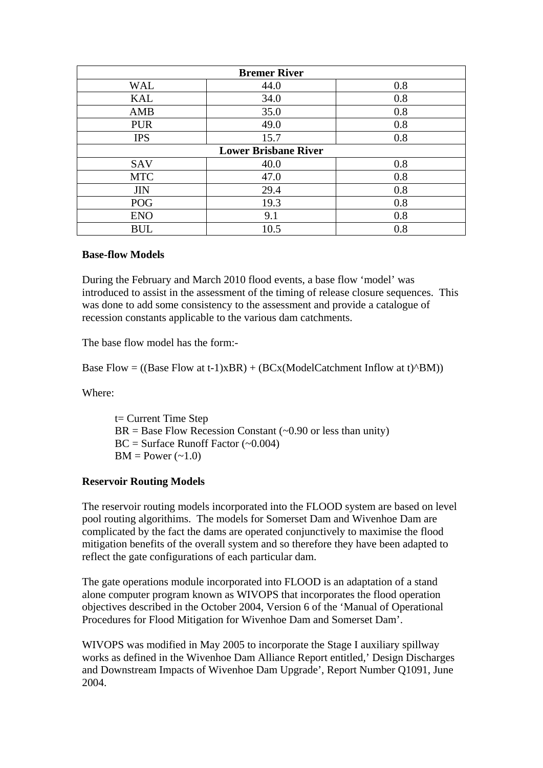| <b>Bremer River</b>         |      |     |  |  |
|-----------------------------|------|-----|--|--|
| <b>WAL</b>                  | 44.0 | 0.8 |  |  |
| <b>KAL</b>                  | 34.0 | 0.8 |  |  |
| AMB                         | 35.0 | 0.8 |  |  |
| <b>PUR</b>                  | 49.0 | 0.8 |  |  |
| <b>IPS</b>                  | 15.7 | 0.8 |  |  |
| <b>Lower Brisbane River</b> |      |     |  |  |
| SAV                         | 40.0 | 0.8 |  |  |
| <b>MTC</b>                  | 47.0 | 0.8 |  |  |
| <b>JIN</b>                  | 29.4 | 0.8 |  |  |
| POG                         | 19.3 | 0.8 |  |  |
| <b>ENO</b>                  | 9.1  | 0.8 |  |  |
| <b>BUL</b>                  | 10.5 | 0.8 |  |  |

#### **Base-flow Models**

During the February and March 2010 flood events, a base flow 'model' was introduced to assist in the assessment of the timing of release closure sequences. This was done to add some consistency to the assessment and provide a catalogue of recession constants applicable to the various dam catchments.

The base flow model has the form:-

Base Flow = ((Base Flow at t-1)xBR) + (BCx(ModelCatchment Inflow at t) $(BM)$ )

Where:

t= Current Time Step  $BR = Base Flow Recession Constant (~0.90 or less than unity)$  $BC = Surface$  Runoff Factor (~0.004)  $BM = Power(-1.0)$ 

#### **Reservoir Routing Models**

The reservoir routing models incorporated into the FLOOD system are based on level pool routing algorithims. The models for Somerset Dam and Wivenhoe Dam are complicated by the fact the dams are operated conjunctively to maximise the flood mitigation benefits of the overall system and so therefore they have been adapted to reflect the gate configurations of each particular dam.

The gate operations module incorporated into FLOOD is an adaptation of a stand alone computer program known as WIVOPS that incorporates the flood operation objectives described in the October 2004, Version 6 of the 'Manual of Operational Procedures for Flood Mitigation for Wivenhoe Dam and Somerset Dam'.

WIVOPS was modified in May 2005 to incorporate the Stage I auxiliary spillway works as defined in the Wivenhoe Dam Alliance Report entitled,' Design Discharges and Downstream Impacts of Wivenhoe Dam Upgrade', Report Number Q1091, June 2004.